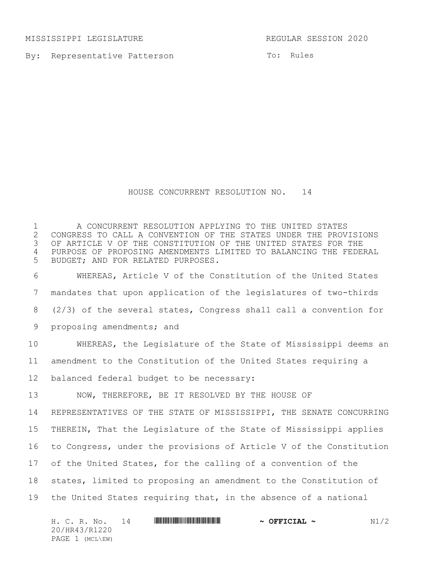MISSISSIPPI LEGISLATURE REGULAR SESSION 2020

20/HR43/R1220 PAGE 1 (MCL\EW)

By: Representative Patterson

To: Rules

## HOUSE CONCURRENT RESOLUTION NO. 14

H. C. R. No. 14 \*HR43/R1220\* **~ OFFICIAL ~** N1/2 A CONCURRENT RESOLUTION APPLYING TO THE UNITED STATES 2 CONGRESS TO CALL A CONVENTION OF THE STATES UNDER THE PROVISIONS<br>3 OF ARTICLE V OF THE CONSTITUTION OF THE UNITED STATES FOR THE OF ARTICLE V OF THE CONSTITUTION OF THE UNITED STATES FOR THE PURPOSE OF PROPOSING AMENDMENTS LIMITED TO BALANCING THE FEDERAL BUDGET; AND FOR RELATED PURPOSES. WHEREAS, Article V of the Constitution of the United States mandates that upon application of the legislatures of two-thirds (2/3) of the several states, Congress shall call a convention for proposing amendments; and WHEREAS, the Legislature of the State of Mississippi deems an amendment to the Constitution of the United States requiring a balanced federal budget to be necessary: NOW, THEREFORE, BE IT RESOLVED BY THE HOUSE OF REPRESENTATIVES OF THE STATE OF MISSISSIPPI, THE SENATE CONCURRING THEREIN, That the Legislature of the State of Mississippi applies to Congress, under the provisions of Article V of the Constitution of the United States, for the calling of a convention of the states, limited to proposing an amendment to the Constitution of the United States requiring that, in the absence of a national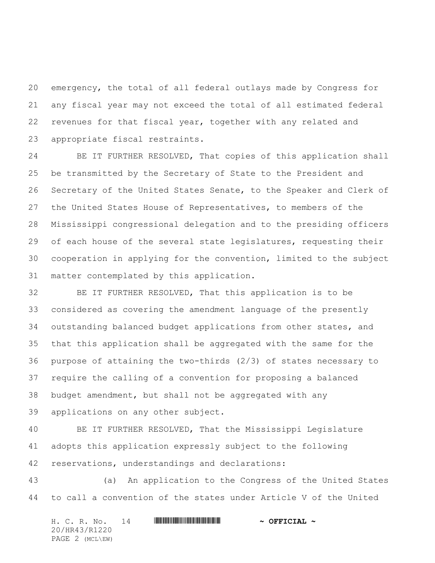emergency, the total of all federal outlays made by Congress for any fiscal year may not exceed the total of all estimated federal revenues for that fiscal year, together with any related and appropriate fiscal restraints.

 BE IT FURTHER RESOLVED, That copies of this application shall be transmitted by the Secretary of State to the President and Secretary of the United States Senate, to the Speaker and Clerk of the United States House of Representatives, to members of the Mississippi congressional delegation and to the presiding officers 29 of each house of the several state legislatures, requesting their cooperation in applying for the convention, limited to the subject matter contemplated by this application.

 BE IT FURTHER RESOLVED, That this application is to be considered as covering the amendment language of the presently outstanding balanced budget applications from other states, and that this application shall be aggregated with the same for the purpose of attaining the two-thirds (2/3) of states necessary to require the calling of a convention for proposing a balanced budget amendment, but shall not be aggregated with any applications on any other subject.

 BE IT FURTHER RESOLVED, That the Mississippi Legislature adopts this application expressly subject to the following reservations, understandings and declarations:

 (a) An application to the Congress of the United States to call a convention of the states under Article V of the United

H. C. R. No. 14 \*HR43/R1220\* **~ OFFICIAL ~** 20/HR43/R1220 PAGE 2 (MCL\EW)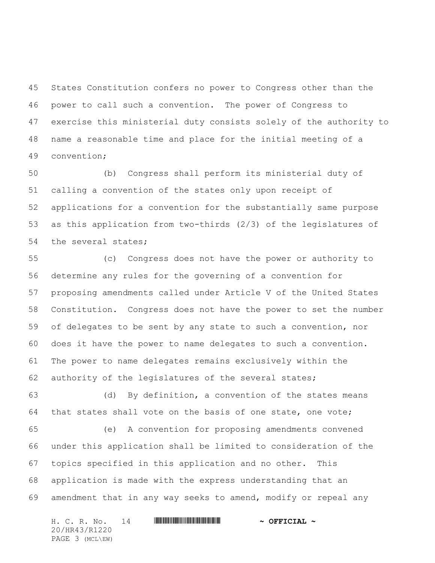States Constitution confers no power to Congress other than the power to call such a convention. The power of Congress to exercise this ministerial duty consists solely of the authority to name a reasonable time and place for the initial meeting of a convention;

 (b) Congress shall perform its ministerial duty of calling a convention of the states only upon receipt of applications for a convention for the substantially same purpose as this application from two-thirds (2/3) of the legislatures of the several states;

 (c) Congress does not have the power or authority to determine any rules for the governing of a convention for proposing amendments called under Article V of the United States Constitution. Congress does not have the power to set the number of delegates to be sent by any state to such a convention, nor does it have the power to name delegates to such a convention. The power to name delegates remains exclusively within the authority of the legislatures of the several states;

 (d) By definition, a convention of the states means that states shall vote on the basis of one state, one vote;

 (e) A convention for proposing amendments convened under this application shall be limited to consideration of the topics specified in this application and no other. This application is made with the express understanding that an amendment that in any way seeks to amend, modify or repeal any

H. C. R. No. 14 \*HR43/R1220\* **~ OFFICIAL ~** 20/HR43/R1220 PAGE 3 (MCL\EW)